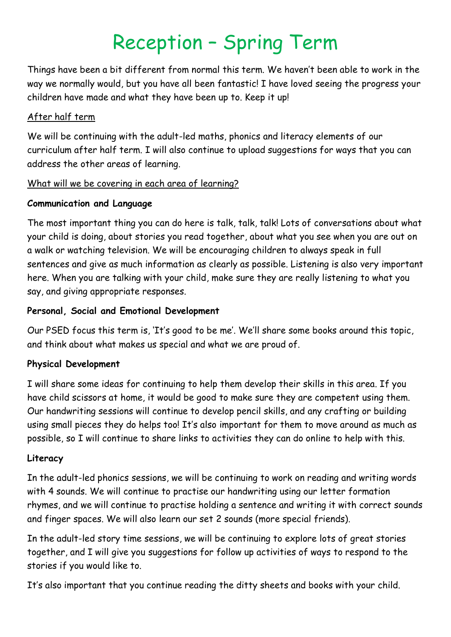# Reception – Spring Term

Things have been a bit different from normal this term. We haven't been able to work in the way we normally would, but you have all been fantastic! I have loved seeing the progress your children have made and what they have been up to. Keep it up!

#### After half term

We will be continuing with the adult-led maths, phonics and literacy elements of our curriculum after half term. I will also continue to upload suggestions for ways that you can address the other areas of learning.

# What will we be covering in each area of learning?

# **Communication and Language**

The most important thing you can do here is talk, talk, talk! Lots of conversations about what your child is doing, about stories you read together, about what you see when you are out on a walk or watching television. We will be encouraging children to always speak in full sentences and give as much information as clearly as possible. Listening is also very important here. When you are talking with your child, make sure they are really listening to what you say, and giving appropriate responses.

# **Personal, Social and Emotional Development**

Our PSED focus this term is, 'It's good to be me'. We'll share some books around this topic, and think about what makes us special and what we are proud of.

# **Physical Development**

I will share some ideas for continuing to help them develop their skills in this area. If you have child scissors at home, it would be good to make sure they are competent using them. Our handwriting sessions will continue to develop pencil skills, and any crafting or building using small pieces they do helps too! It's also important for them to move around as much as possible, so I will continue to share links to activities they can do online to help with this.

# **Literacy**

In the adult-led phonics sessions, we will be continuing to work on reading and writing words with 4 sounds. We will continue to practise our handwriting using our letter formation rhymes, and we will continue to practise holding a sentence and writing it with correct sounds and finger spaces. We will also learn our set 2 sounds (more special friends).

In the adult-led story time sessions, we will be continuing to explore lots of great stories together, and I will give you suggestions for follow up activities of ways to respond to the stories if you would like to.

It's also important that you continue reading the ditty sheets and books with your child.